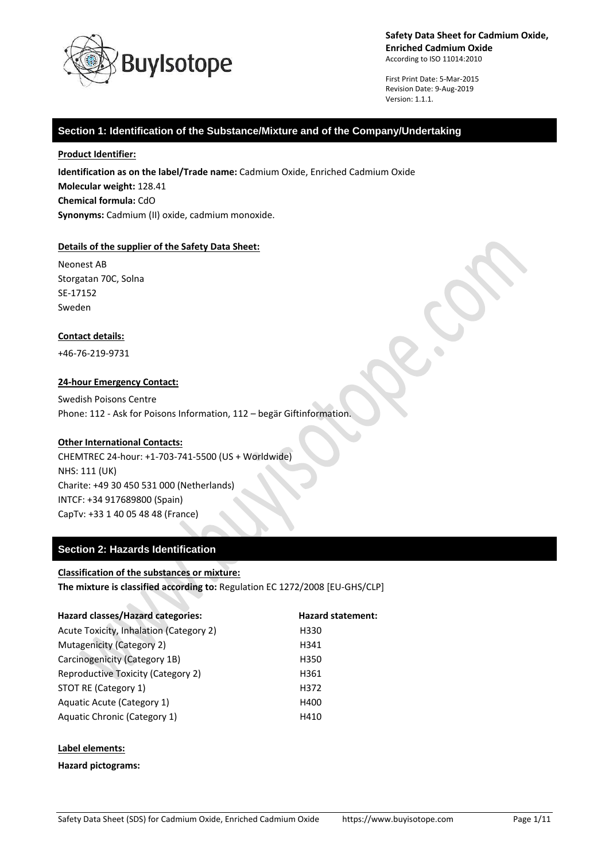

First Print Date: 5-Mar-2015 Revision Date: 9-Aug-2019 Version: 1.1.1.

### **Section 1: Identification of the Substance/Mixture and of the Company/Undertaking**

#### **Product Identifier:**

**Identification as on the label/Trade name:** Cadmium Oxide, Enriched Cadmium Oxide **Molecular weight:** 128.41 **Chemical formula:** CdO **Synonyms:** Cadmium (II) oxide, cadmium monoxide.

### **Details of the supplier of the Safety Data Sheet:**

Neonest AB Storgatan 70C, Solna SE-17152 Sweden

### **Contact details:**

+46-76-219-9731

### **24-hour Emergency Contact:**

Swedish Poisons Centre Phone: 112 - Ask for Poisons Information, 112 – begär Giftinformation.

### **Other International Contacts:**

CHEMTREC 24-hour: +1-703-741-5500 (US + Worldwide) NHS: 111 (UK) Charite: +49 30 450 531 000 (Netherlands) INTCF: +34 917689800 (Spain) CapTv: +33 1 40 05 48 48 (France)

## **Section 2: Hazards Identification**

### **Classification of the substances or mixture:**

**The mixture is classified according to:** Regulation EC 1272/2008 [EU-GHS/CLP]

| Hazard classes/Hazard categories:       | <b>Hazard statement:</b> |
|-----------------------------------------|--------------------------|
| Acute Toxicity, Inhalation (Category 2) | H330                     |
| Mutagenicity (Category 2)               | H341                     |
| Carcinogenicity (Category 1B)           | H350                     |
| Reproductive Toxicity (Category 2)      | H361                     |
| STOT RE (Category 1)                    | H372                     |
| Aquatic Acute (Category 1)              | H400                     |
| Aquatic Chronic (Category 1)            | H410                     |
|                                         |                          |

### **Label elements:**

**Hazard pictograms:**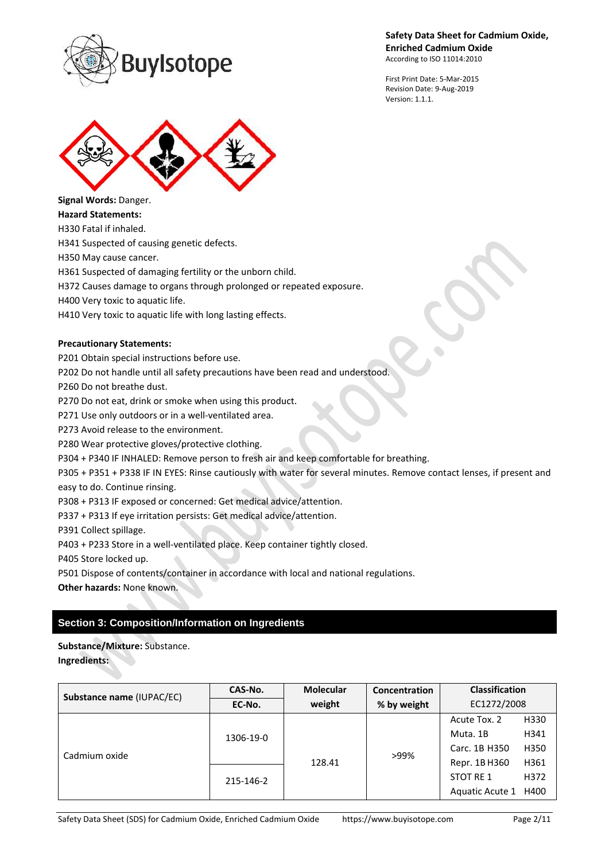

First Print Date: 5-Mar-2015 Revision Date: 9-Aug-2019 Version: 1.1.1.



**Signal Words:** Danger.

**Hazard Statements:**

H330 Fatal if inhaled.

H341 Suspected of causing genetic defects.

H350 May cause cancer.

H361 Suspected of damaging fertility or the unborn child.

H372 Causes damage to organs through prolonged or repeated exposure.

H400 Very toxic to aquatic life.

H410 Very toxic to aquatic life with long lasting effects.

### **Precautionary Statements:**

P201 Obtain special instructions before use.

P202 Do not handle until all safety precautions have been read and understood.

P260 Do not breathe dust.

P270 Do not eat, drink or smoke when using this product.

P271 Use only outdoors or in a well-ventilated area.

P273 Avoid release to the environment.

P280 Wear protective gloves/protective clothing.

P304 + P340 IF INHALED: Remove person to fresh air and keep comfortable for breathing.

P305 + P351 + P338 IF IN EYES: Rinse cautiously with water for several minutes. Remove contact lenses, if present and easy to do. Continue rinsing.

P308 + P313 IF exposed or concerned: Get medical advice/attention.

P337 + P313 If eye irritation persists: Get medical advice/attention.

P391 Collect spillage.

P403 + P233 Store in a well-ventilated place. Keep container tightly closed.

P405 Store locked up.

P501 Dispose of contents/container in accordance with local and national regulations.

**Other hazards:** None known.

# **Section 3: Composition/Information on Ingredients**

**Substance/Mixture:** Substance. **Ingredients:**

| Substance name (IUPAC/EC) | CAS-No.   | <b>Molecular</b> | Concentration | <b>Classification</b> |      |
|---------------------------|-----------|------------------|---------------|-----------------------|------|
|                           | EC-No.    | weight           | % by weight   | EC1272/2008           |      |
| Cadmium oxide             | 1306-19-0 | 128.41           | >99%          | Acute Tox. 2          | H330 |
|                           |           |                  |               | Muta. 1B              | H341 |
|                           |           |                  |               | Carc. 1B H350         | H350 |
|                           | 215-146-2 |                  |               | Repr. 1B H360         | H361 |
|                           |           |                  |               | STOT RE 1             | H372 |
|                           |           |                  |               | Aquatic Acute 1 H400  |      |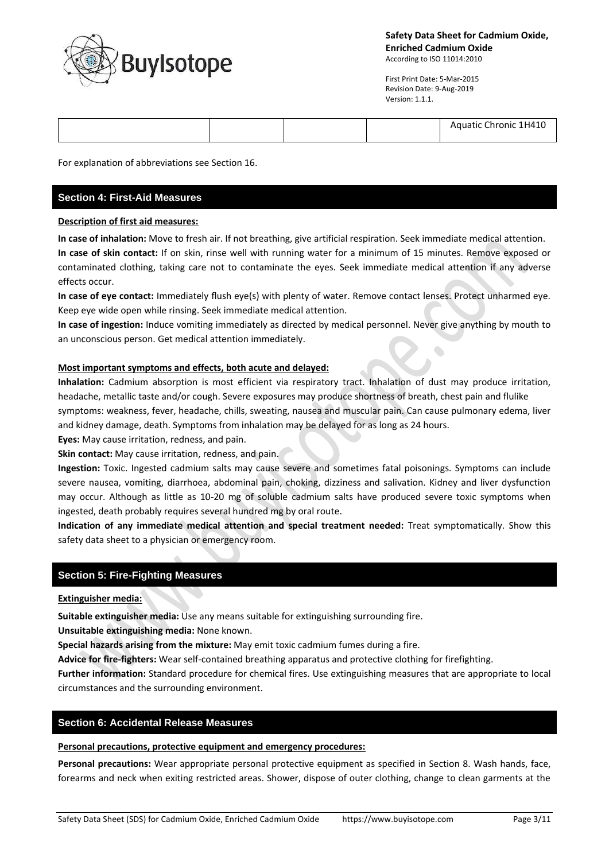

First Print Date: 5-Mar-2015 Revision Date: 9-Aug-2019 Version: 1.1.1.

 $\bullet$ 

|  |  | Aquatic Chronic 1H410 |
|--|--|-----------------------|
|  |  |                       |

For explanation of abbreviations see Section 16.

# **Section 4: First-Aid Measures**

### **Description of first aid measures:**

**In case of inhalation:** Move to fresh air. If not breathing, give artificial respiration. Seek immediate medical attention. **In case of skin contact:** If on skin, rinse well with running water for a minimum of 15 minutes. Remove exposed or contaminated clothing, taking care not to contaminate the eyes. Seek immediate medical attention if any adverse effects occur.

**In case of eye contact:** Immediately flush eye(s) with plenty of water. Remove contact lenses. Protect unharmed eye. Keep eye wide open while rinsing. Seek immediate medical attention.

**In case of ingestion:** Induce vomiting immediately as directed by medical personnel. Never give anything by mouth to an unconscious person. Get medical attention immediately.

### **Most important symptoms and effects, both acute and delayed:**

**Inhalation:** Cadmium absorption is most efficient via respiratory tract. Inhalation of dust may produce irritation, headache, metallic taste and/or cough. Severe exposures may produce shortness of breath, chest pain and flulike symptoms: weakness, fever, headache, chills, sweating, nausea and muscular pain. Can cause pulmonary edema, liver and kidney damage, death. Symptoms from inhalation may be delayed for as long as 24 hours.

**Eyes:** May cause irritation, redness, and pain.

**Skin contact:** May cause irritation, redness, and pain.

**Ingestion:** Toxic. Ingested cadmium salts may cause severe and sometimes fatal poisonings. Symptoms can include severe nausea, vomiting, diarrhoea, abdominal pain, choking, dizziness and salivation. Kidney and liver dysfunction may occur. Although as little as 10-20 mg of soluble cadmium salts have produced severe toxic symptoms when ingested, death probably requires several hundred mg by oral route.

**Indication of any immediate medical attention and special treatment needed:** Treat symptomatically. Show this safety data sheet to a physician or emergency room.

# **Section 5: Fire-Fighting Measures**

### **Extinguisher media:**

**Suitable extinguisher media:** Use any means suitable for extinguishing surrounding fire.

**Unsuitable extinguishing media:** None known.

**Special hazards arising from the mixture:** May emit toxic cadmium fumes during a fire.

**Advice for fire-fighters:** Wear self-contained breathing apparatus and protective clothing for firefighting.

**Further information:** Standard procedure for chemical fires. Use extinguishing measures that are appropriate to local circumstances and the surrounding environment.

### **Section 6: Accidental Release Measures**

### **Personal precautions, protective equipment and emergency procedures:**

**Personal precautions:** Wear appropriate personal protective equipment as specified in Section 8. Wash hands, face, forearms and neck when exiting restricted areas. Shower, dispose of outer clothing, change to clean garments at the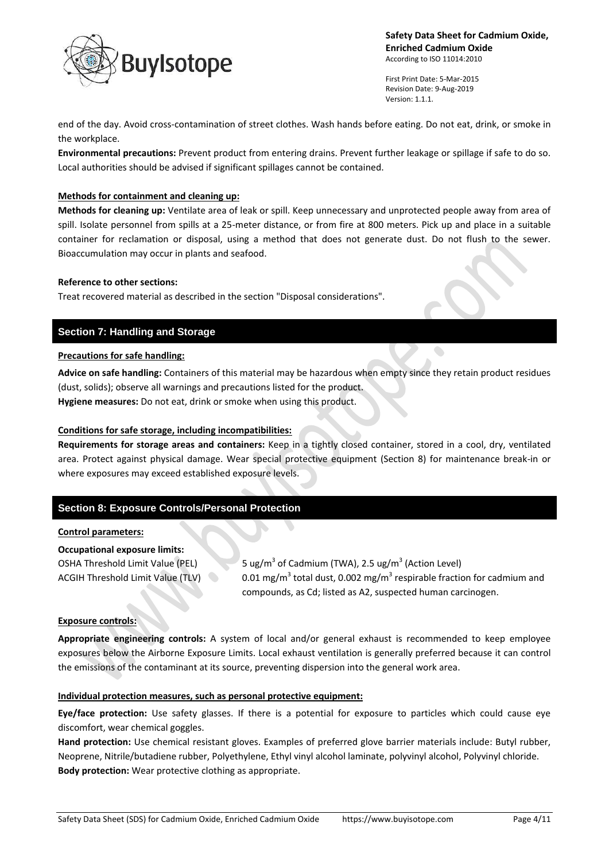

First Print Date: 5-Mar-2015 Revision Date: 9-Aug-2019 Version: 1.1.1.

 $\bullet$ 

end of the day. Avoid cross-contamination of street clothes. Wash hands before eating. Do not eat, drink, or smoke in the workplace.

**Environmental precautions:** Prevent product from entering drains. Prevent further leakage or spillage if safe to do so. Local authorities should be advised if significant spillages cannot be contained.

### **Methods for containment and cleaning up:**

**Methods for cleaning up:** Ventilate area of leak or spill. Keep unnecessary and unprotected people away from area of spill. Isolate personnel from spills at a 25-meter distance, or from fire at 800 meters. Pick up and place in a suitable container for reclamation or disposal, using a method that does not generate dust. Do not flush to the sewer. Bioaccumulation may occur in plants and seafood.

#### **Reference to other sections:**

Treat recovered material as described in the section "Disposal considerations".

## **Section 7: Handling and Storage**

### **Precautions for safe handling:**

**Advice on safe handling:** Containers of this material may be hazardous when empty since they retain product residues (dust, solids); observe all warnings and precautions listed for the product.

**Hygiene measures:** Do not eat, drink or smoke when using this product.

#### **Conditions for safe storage, including incompatibilities:**

**Requirements for storage areas and containers:** Keep in a tightly closed container, stored in a cool, dry, ventilated area. Protect against physical damage. Wear special protective equipment (Section 8) for maintenance break-in or where exposures may exceed established exposure levels.

## **Section 8: Exposure Controls/Personal Protection**

#### **Control parameters:**

#### **Occupational exposure limits:**

OSHA Threshold Limit Value (PEL) ACGIH Threshold Limit Value (TLV)

of Cadmium (TWA), 2.5 ug/m<sup>3</sup> (Action Level) total dust, 0.002 mg/m<sup>3</sup> respirable fraction for cadmium and compounds, as Cd; listed as A2, suspected human carcinogen.

### **Exposure controls:**

**Appropriate engineering controls:** A system of local and/or general exhaust is recommended to keep employee exposures below the Airborne Exposure Limits. Local exhaust ventilation is generally preferred because it can control the emissions of the contaminant at its source, preventing dispersion into the general work area.

#### **Individual protection measures, such as personal protective equipment:**

**Eye/face protection:** Use safety glasses. If there is a potential for exposure to particles which could cause eye discomfort, wear chemical goggles.

**Hand protection:** Use chemical resistant gloves. Examples of preferred glove barrier materials include: Butyl rubber, Neoprene, Nitrile/butadiene rubber, Polyethylene, Ethyl vinyl alcohol laminate, polyvinyl alcohol, Polyvinyl chloride. **Body protection:** Wear protective clothing as appropriate.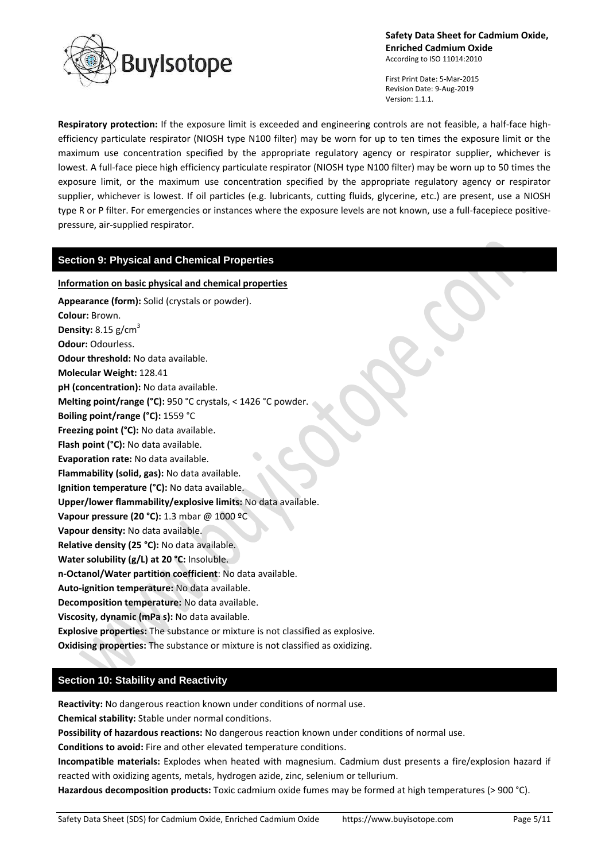

First Print Date: 5-Mar-2015 Revision Date: 9-Aug-2019 Version: 1.1.1.

**Respiratory protection:** If the exposure limit is exceeded and engineering controls are not feasible, a half-face highefficiency particulate respirator (NIOSH type N100 filter) may be worn for up to ten times the exposure limit or the maximum use concentration specified by the appropriate regulatory agency or respirator supplier, whichever is lowest. A full-face piece high efficiency particulate respirator (NIOSH type N100 filter) may be worn up to 50 times the exposure limit, or the maximum use concentration specified by the appropriate regulatory agency or respirator supplier, whichever is lowest. If oil particles (e.g. lubricants, cutting fluids, glycerine, etc.) are present, use a NIOSH type R or P filter. For emergencies or instances where the exposure levels are not known, use a full-facepiece positivepressure, air-supplied respirator.

### **Section 9: Physical and Chemical Properties**

#### **Information on basic physical and chemical properties**

**Appearance (form):** Solid (crystals or powder). **Colour:** Brown. **Density:** 8.15 g/cm 3 **Odour:** Odourless. **Odour threshold:** No data available. **Molecular Weight:** 128.41 **pH (concentration):** No data available. **Melting point/range (°C):** 950 °C crystals, < 1426 °C powder. **Boiling point/range (°C):** 1559 °C **Freezing point (°C):** No data available. **Flash point (°C):** No data available. **Evaporation rate:** No data available. **Flammability (solid, gas):** No data available. **Ignition temperature (°C):** No data available. **Upper/lower flammability/explosive limits:** No data available. **Vapour pressure (20 °C):** 1.3 mbar @ 1000 ºC **Vapour density:** No data available. **Relative density (25 °C):** No data available. **Water solubility (g/L) at 20 °C:** Insoluble. **n-Octanol/Water partition coefficient**: No data available. **Auto-ignition temperature:** No data available. **Decomposition temperature:** No data available. **Viscosity, dynamic (mPa s):** No data available. **Explosive properties:** The substance or mixture is not classified as explosive. **Oxidising properties:** The substance or mixture is not classified as oxidizing.

# **Section 10: Stability and Reactivity**

**Reactivity:** No dangerous reaction known under conditions of normal use.

**Chemical stability:** Stable under normal conditions.

**Possibility of hazardous reactions:** No dangerous reaction known under conditions of normal use.

**Conditions to avoid:** Fire and other elevated temperature conditions.

**Incompatible materials:** Explodes when heated with magnesium. Cadmium dust presents a fire/explosion hazard if reacted with oxidizing agents, metals, hydrogen azide, zinc, selenium or tellurium.

**Hazardous decomposition products:** Toxic cadmium oxide fumes may be formed at high temperatures (> 900 °C).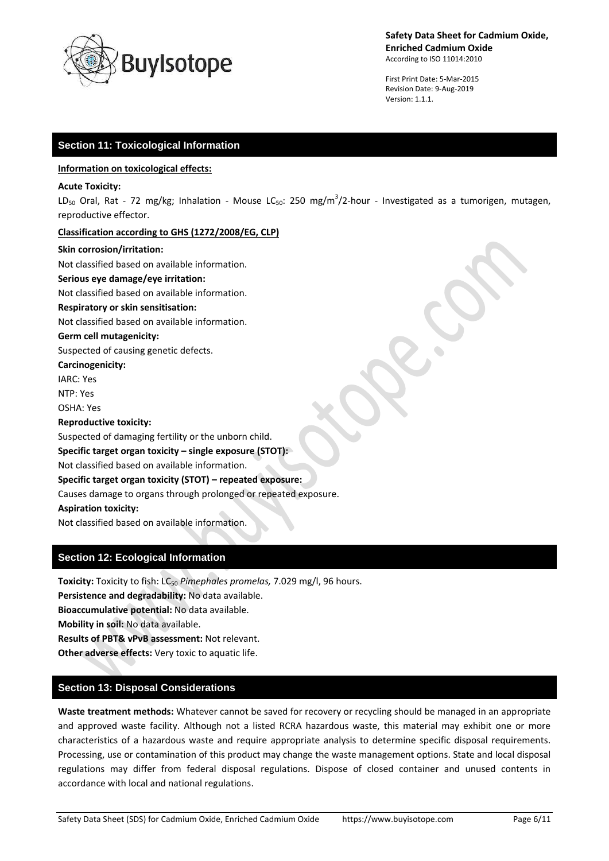

First Print Date: 5-Mar-2015 Revision Date: 9-Aug-2019 Version: 1.1.1.

## **Section 11: Toxicological Information**

#### **Information on toxicological effects:**

#### **Acute Toxicity:**

LD<sub>50</sub> Oral, Rat - 72 mg/kg; Inhalation - Mouse LC<sub>50</sub>: 250 mg/m<sup>3</sup>/2-hour - Investigated as a tumorigen, mutagen, reproductive effector.

#### **Classification according to GHS (1272/2008/EG, CLP)**

#### **Skin corrosion/irritation:**

Not classified based on available information.

#### **Serious eye damage/eye irritation:**

Not classified based on available information.

#### **Respiratory or skin sensitisation:**

Not classified based on available information.

#### **Germ cell mutagenicity:**

Suspected of causing genetic defects.

**Carcinogenicity:**

IARC: Yes

NTP: Yes

OSHA: Yes

### **Reproductive toxicity:**

Suspected of damaging fertility or the unborn child.

### **Specific target organ toxicity – single exposure (STOT):**

Not classified based on available information.

### **Specific target organ toxicity (STOT) – repeated exposure:**

Causes damage to organs through prolonged or repeated exposure.

**Aspiration toxicity:**

Not classified based on available information.

# **Section 12: Ecological Information**

**Toxicity:** Toxicity to fish: LC<sub>50</sub> *Pimephales promelas,* 7.029 mg/l, 96 hours. **Persistence and degradability:** No data available. **Bioaccumulative potential:** No data available. **Mobility in soil:** No data available. **Results of PBT& vPvB assessment:** Not relevant. **Other adverse effects:** Very toxic to aquatic life.

# **Section 13: Disposal Considerations**

**Waste treatment methods:** Whatever cannot be saved for recovery or recycling should be managed in an appropriate and approved waste facility. Although not a listed RCRA hazardous waste, this material may exhibit one or more characteristics of a hazardous waste and require appropriate analysis to determine specific disposal requirements. Processing, use or contamination of this product may change the waste management options. State and local disposal regulations may differ from federal disposal regulations. Dispose of closed container and unused contents in accordance with local and national regulations.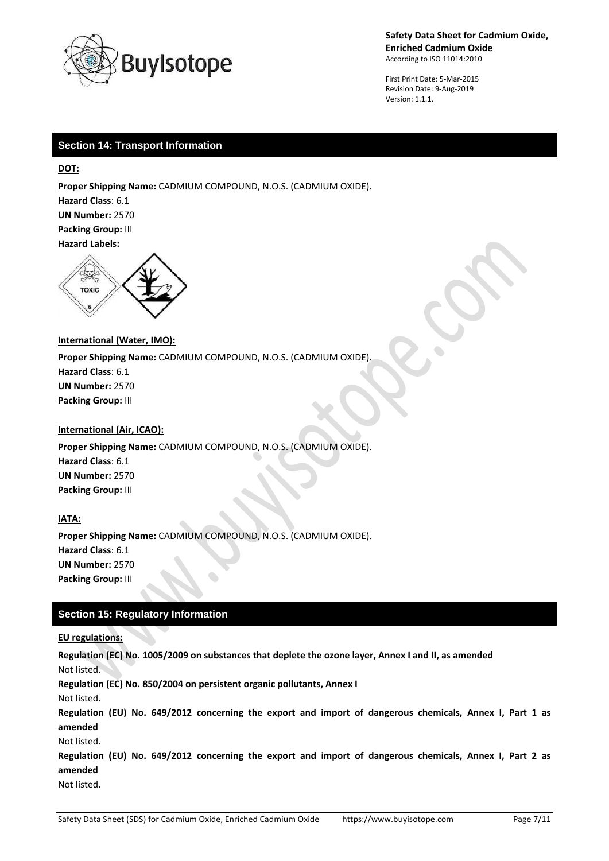

First Print Date: 5-Mar-2015 Revision Date: 9-Aug-2019 Version: 1.1.1.

# **Section 14: Transport Information**

**DOT:**

**Proper Shipping Name:** CADMIUM COMPOUND, N.O.S. (CADMIUM OXIDE). **Hazard Class**: 6.1 **UN Number:** 2570 **Packing Group:** III

**Hazard Labels:** 



### **International (Water, IMO):**

**Proper Shipping Name:** CADMIUM COMPOUND, N.O.S. (CADMIUM OXIDE). **Hazard Class**: 6.1 **UN Number:** 2570 **Packing Group:** III

### **International (Air, ICAO):**

**Proper Shipping Name:** CADMIUM COMPOUND, N.O.S. (CADMIUM OXIDE). **Hazard Class**: 6.1 **UN Number:** 2570 **Packing Group:** III

## **IATA:**

**Proper Shipping Name:** CADMIUM COMPOUND, N.O.S. (CADMIUM OXIDE). **Hazard Class**: 6.1 **UN Number:** 2570 **Packing Group:** III

# **Section 15: Regulatory Information**

## **EU regulations:**

**Regulation (EC) No. 1005/2009 on substances that deplete the ozone layer, Annex I and II, as amended** Not listed. **Regulation (EC) No. 850/2004 on persistent organic pollutants, Annex I** Not listed. **Regulation (EU) No. 649/2012 concerning the export and import of dangerous chemicals, Annex I, Part 1 as amended** Not listed. **Regulation (EU) No. 649/2012 concerning the export and import of dangerous chemicals, Annex I, Part 2 as amended** Not listed.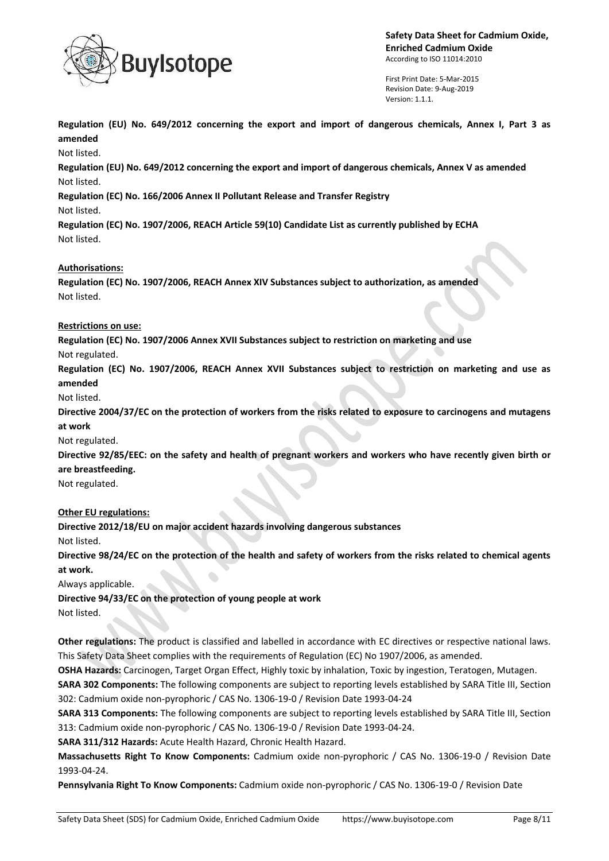

First Print Date: 5-Mar-2015 Revision Date: 9-Aug-2019 Version: 1.1.1.

**Regulation (EU) No. 649/2012 concerning the export and import of dangerous chemicals, Annex I, Part 3 as amended**

Not listed.

**Regulation (EU) No. 649/2012 concerning the export and import of dangerous chemicals, Annex V as amended** Not listed.

**Regulation (EC) No. 166/2006 Annex II Pollutant Release and Transfer Registry**

Not listed.

**Regulation (EC) No. 1907/2006, REACH Article 59(10) Candidate List as currently published by ECHA** Not listed.

# **Authorisations:**

**Regulation (EC) No. 1907/2006, REACH Annex XIV Substances subject to authorization, as amended** Not listed.

## **Restrictions on use:**

**Regulation (EC) No. 1907/2006 Annex XVII Substances subject to restriction on marketing and use**

Not regulated.

**Regulation (EC) No. 1907/2006, REACH Annex XVII Substances subject to restriction on marketing and use as amended**

Not listed.

**Directive 2004/37/EC on the protection of workers from the risks related to exposure to carcinogens and mutagens at work**

Not regulated.

**Directive 92/85/EEC: on the safety and health of pregnant workers and workers who have recently given birth or are breastfeeding.**

Not regulated.

## **Other EU regulations:**

**Directive 2012/18/EU on major accident hazards involving dangerous substances**

Not listed.

**Directive 98/24/EC on the protection of the health and safety of workers from the risks related to chemical agents at work.**

Always applicable.

**Directive 94/33/EC on the protection of young people at work**

Not listed.

**Other regulations:** The product is classified and labelled in accordance with EC directives or respective national laws. This Safety Data Sheet complies with the requirements of Regulation (EC) No 1907/2006, as amended.

**OSHA Hazards:** Carcinogen, Target Organ Effect, Highly toxic by inhalation, Toxic by ingestion, Teratogen, Mutagen.

**SARA 302 Components:** The following components are subject to reporting levels established by SARA Title III, Section 302: Cadmium oxide non-pyrophoric / CAS No. 1306-19-0 / Revision Date 1993-04-24

**SARA 313 Components:** The following components are subject to reporting levels established by SARA Title III, Section 313: Cadmium oxide non-pyrophoric / CAS No. 1306-19-0 / Revision Date 1993-04-24.

**SARA 311/312 Hazards:** Acute Health Hazard, Chronic Health Hazard.

**Massachusetts Right To Know Components:** Cadmium oxide non-pyrophoric / CAS No. 1306-19-0 / Revision Date 1993-04-24.

**Pennsylvania Right To Know Components:** Cadmium oxide non-pyrophoric / CAS No. 1306-19-0 / Revision Date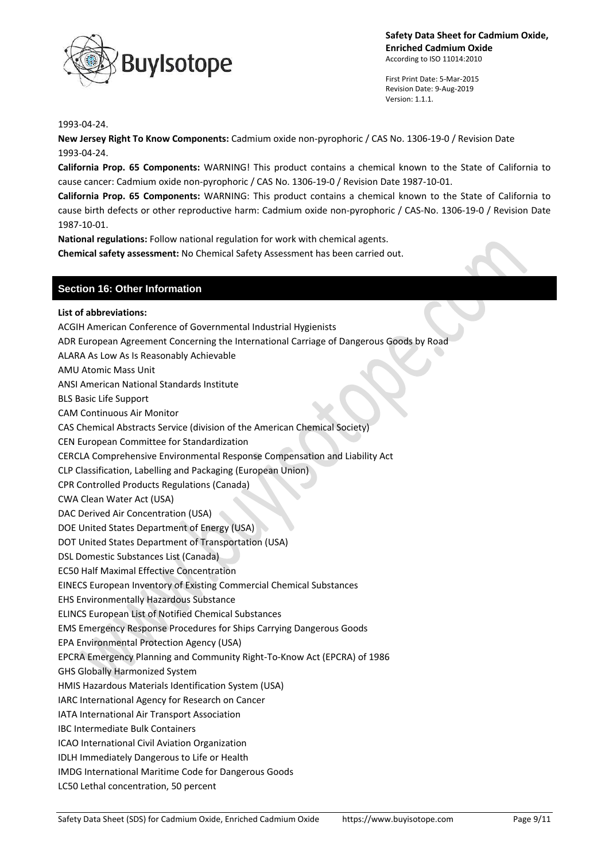

First Print Date: 5-Mar-2015 Revision Date: 9-Aug-2019 Version: 1.1.1.

#### 1993-04-24.

**New Jersey Right To Know Components:** Cadmium oxide non-pyrophoric / CAS No. 1306-19-0 / Revision Date 1993-04-24.

**California Prop. 65 Components:** WARNING! This product contains a chemical known to the State of California to cause cancer: Cadmium oxide non-pyrophoric / CAS No. 1306-19-0 / Revision Date 1987-10-01.

**California Prop. 65 Components:** WARNING: This product contains a chemical known to the State of California to cause birth defects or other reproductive harm: Cadmium oxide non-pyrophoric / CAS-No. 1306-19-0 / Revision Date 1987-10-01.

**National regulations:** Follow national regulation for work with chemical agents.

**Chemical safety assessment:** No Chemical Safety Assessment has been carried out.

## **Section 16: Other Information**

Safety Data Sheet (SDS) for Cadmium Oxide, Enriched Cadmium Oxide https://www.buyisotope.com Page 9/11 **List of abbreviations:** ACGIH American Conference of Governmental Industrial Hygienists ADR European Agreement Concerning the International Carriage of Dangerous Goods by Road ALARA As Low As Is Reasonably Achievable AMU Atomic Mass Unit ANSI American National Standards Institute BLS Basic Life Support CAM Continuous Air Monitor CAS Chemical Abstracts Service (division of the American Chemical Society) CEN European Committee for Standardization CERCLA Comprehensive Environmental Response Compensation and Liability Act CLP Classification, Labelling and Packaging (European Union) CPR Controlled Products Regulations (Canada) CWA Clean Water Act (USA) DAC Derived Air Concentration (USA) DOE United States Department of Energy (USA) DOT United States Department of Transportation (USA) DSL Domestic Substances List (Canada) EC50 Half Maximal Effective Concentration EINECS European Inventory of Existing Commercial Chemical Substances EHS Environmentally Hazardous Substance ELINCS European List of Notified Chemical Substances EMS Emergency Response Procedures for Ships Carrying Dangerous Goods EPA Environmental Protection Agency (USA) EPCRA Emergency Planning and Community Right-To-Know Act (EPCRA) of 1986 GHS Globally Harmonized System HMIS Hazardous Materials Identification System (USA) IARC International Agency for Research on Cancer IATA International Air Transport Association IBC Intermediate Bulk Containers ICAO International Civil Aviation Organization IDLH Immediately Dangerous to Life or Health IMDG International Maritime Code for Dangerous Goods LC50 Lethal concentration, 50 percent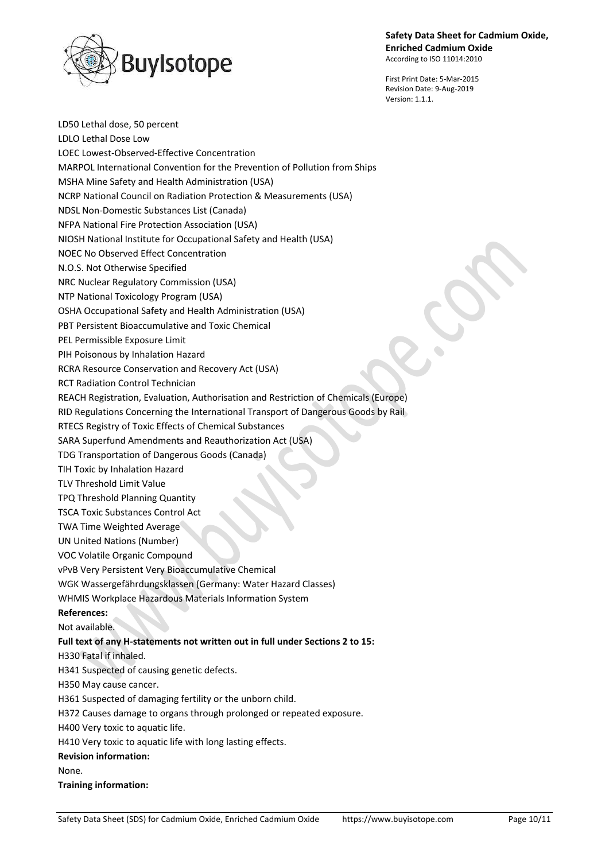

First Print Date: 5-Mar-2015 Revision Date: 9-Aug-2019 Version: 1.1.1.

LD50 Lethal dose, 50 percent LDLO Lethal Dose Low LOEC Lowest-Observed-Effective Concentration MARPOL International Convention for the Prevention of Pollution from Ships MSHA Mine Safety and Health Administration (USA) NCRP National Council on Radiation Protection & Measurements (USA) NDSL Non-Domestic Substances List (Canada) NFPA National Fire Protection Association (USA) NIOSH National Institute for Occupational Safety and Health (USA) NOEC No Observed Effect Concentration N.O.S. Not Otherwise Specified NRC Nuclear Regulatory Commission (USA) NTP National Toxicology Program (USA) OSHA Occupational Safety and Health Administration (USA) PBT Persistent Bioaccumulative and Toxic Chemical PEL Permissible Exposure Limit PIH Poisonous by Inhalation Hazard RCRA Resource Conservation and Recovery Act (USA) RCT Radiation Control Technician REACH Registration, Evaluation, Authorisation and Restriction of Chemicals (Europe) RID Regulations Concerning the International Transport of Dangerous Goods by Rail RTECS Registry of Toxic Effects of Chemical Substances SARA Superfund Amendments and Reauthorization Act (USA) TDG Transportation of Dangerous Goods (Canada) TIH Toxic by Inhalation Hazard TLV Threshold Limit Value TPQ Threshold Planning Quantity TSCA Toxic Substances Control Act TWA Time Weighted Average UN United Nations (Number) VOC Volatile Organic Compound vPvB Very Persistent Very Bioaccumulative Chemical WGK Wassergefährdungsklassen (Germany: Water Hazard Classes) WHMIS Workplace Hazardous Materials Information System **References:** Not available. **Full text of any H-statements not written out in full under Sections 2 to 15:** H330 Fatal if inhaled. H341 Suspected of causing genetic defects. H350 May cause cancer. H361 Suspected of damaging fertility or the unborn child. H372 Causes damage to organs through prolonged or repeated exposure. H400 Very toxic to aquatic life. H410 Very toxic to aquatic life with long lasting effects. **Revision information:** None. **Training information:**